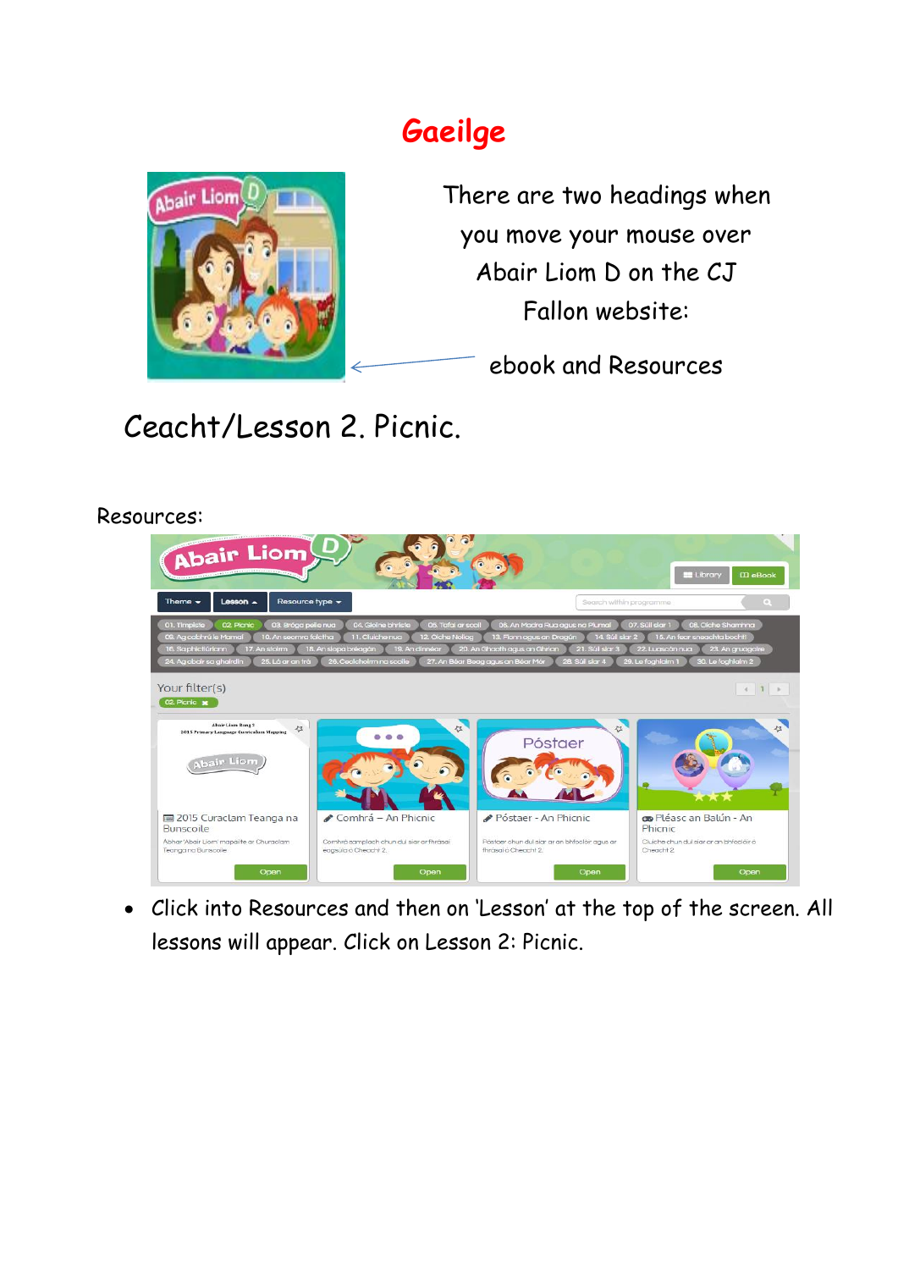## **Gaeilge**



There are two headings when you move your mouse over Abair Liom D on the CJ Fallon website:

ebook and Resources

Ceacht/Lesson 2. Picnic.

Resources:



 Click into Resources and then on 'Lesson' at the top of the screen. All lessons will appear. Click on Lesson 2: Picnic.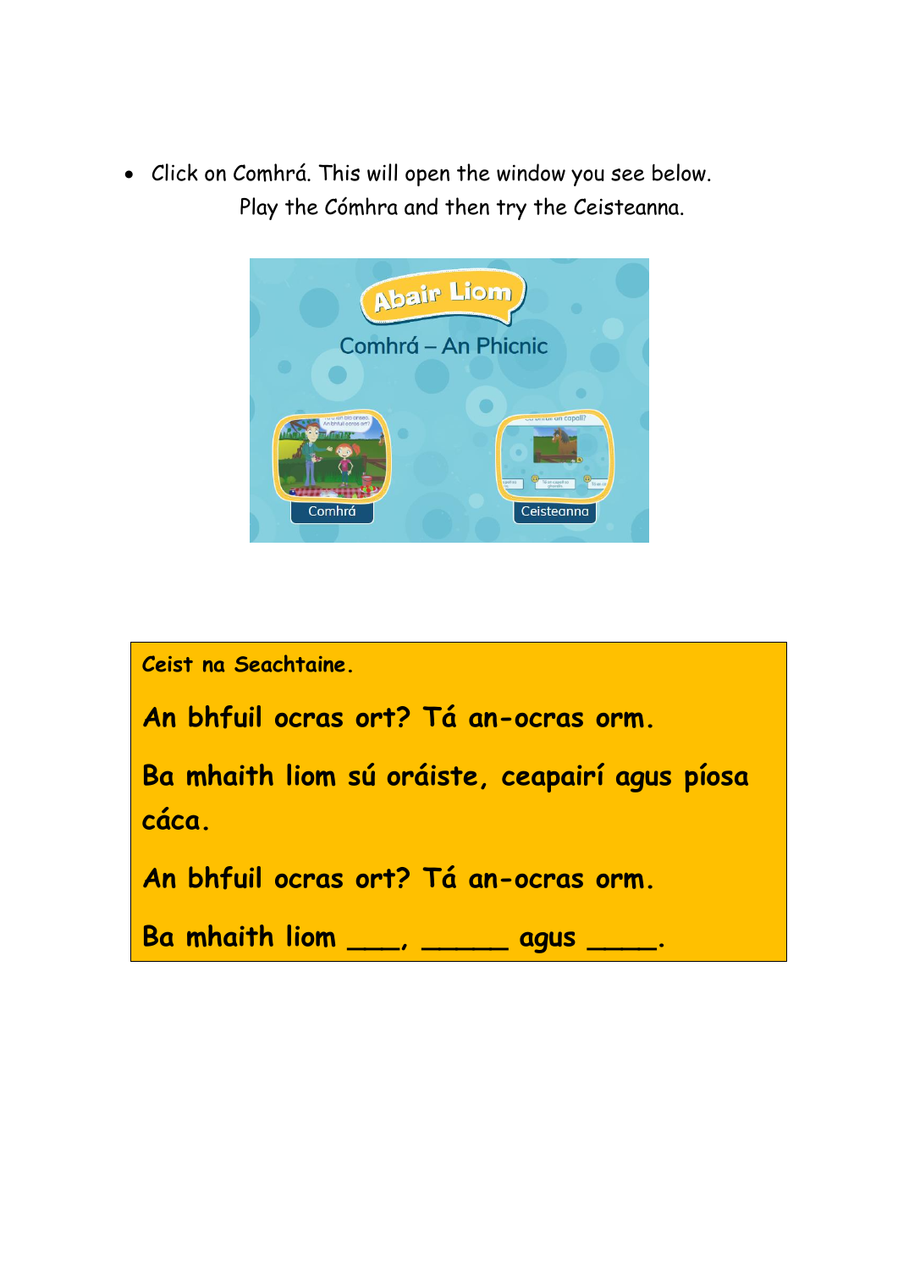Click on Comhrá. This will open the window you see below. Play the Cómhra and then try the Ceisteanna.



| Ceist na Seachtaine.                                    |
|---------------------------------------------------------|
| An bhfuil ocras ort? Tá an-ocras orm.                   |
| Ba mhaith liom sú oráiste, ceapairí agus píosa<br>cáca. |
| An bhfuil ocras ort? Tá an-ocras orm.                   |
| Ba mhaith liom ____, ______ agus ____.                  |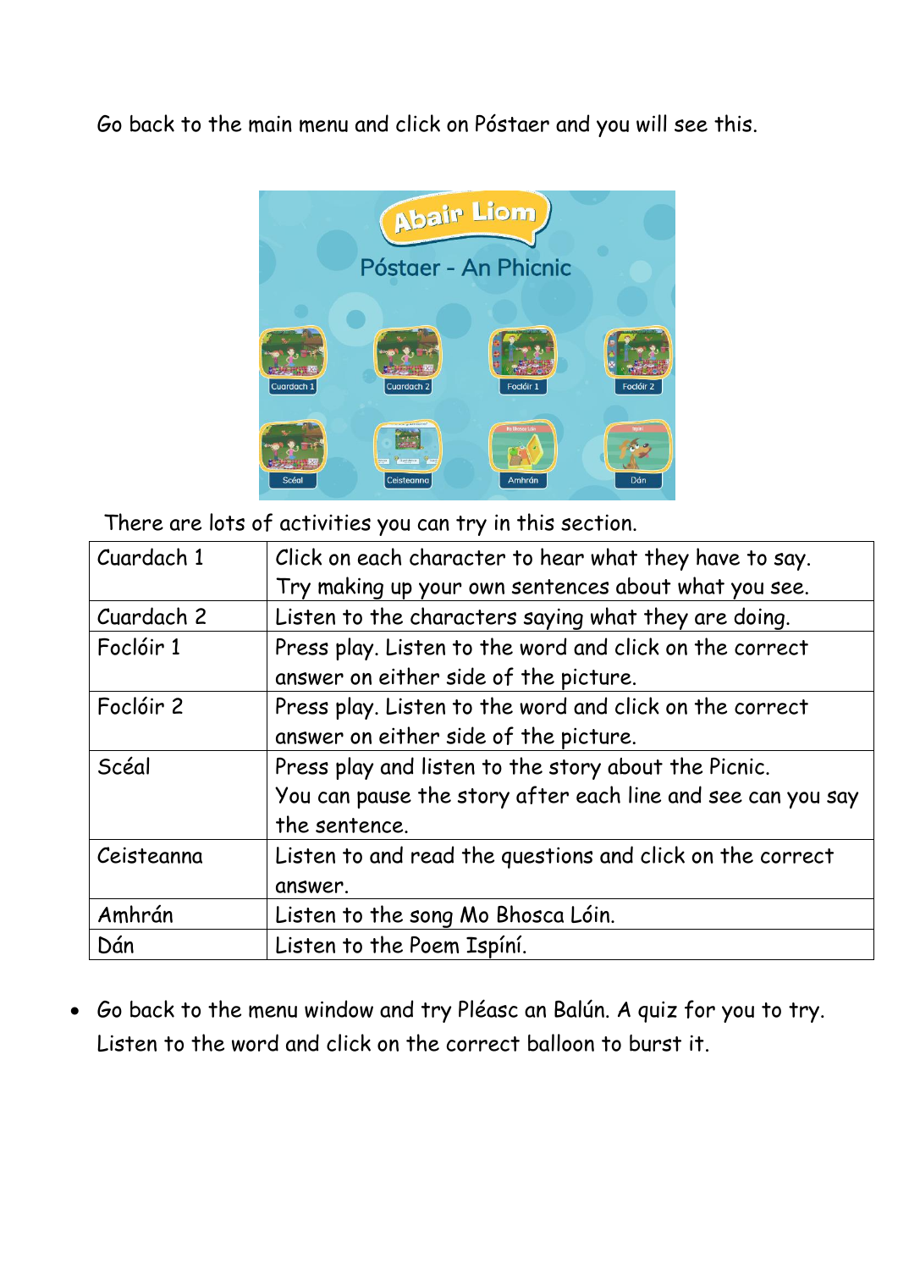Go back to the main menu and click on Póstaer and you will see this.



There are lots of activities you can try in this section.

| Cuardach 1 | Click on each character to hear what they have to say.      |
|------------|-------------------------------------------------------------|
|            | Try making up your own sentences about what you see.        |
| Cuardach 2 | Listen to the characters saying what they are doing.        |
| Foclóir 1  | Press play. Listen to the word and click on the correct     |
|            | answer on either side of the picture.                       |
| Foclóir 2  | Press play. Listen to the word and click on the correct     |
|            | answer on either side of the picture.                       |
| Scéal      | Press play and listen to the story about the Picnic.        |
|            | You can pause the story after each line and see can you say |
|            | the sentence.                                               |
| Ceisteanna | Listen to and read the questions and click on the correct   |
|            | answer.                                                     |
| Amhrán     | Listen to the song Mo Bhosca Lóin.                          |
| Dán        | Listen to the Poem Ispíní.                                  |

 Go back to the menu window and try Pléasc an Balún. A quiz for you to try. Listen to the word and click on the correct balloon to burst it.